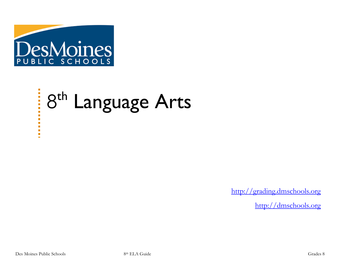

# 8<sup>th</sup> Language Arts

[http://grading.dmschools.org](http://grading.dmschools.org/)

[http://dmschools.org](http://dmschools.org/)

 $\overline{\phantom{a}}$ 

п  $\blacksquare$  $\blacksquare$  $\blacksquare$ ù.  $\blacksquare$  $\mathbf{r}$  $\blacksquare$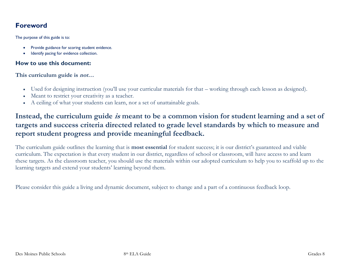## **Foreword**

The purpose of this guide is to:

- Provide guidance for scoring student evidence.
- Identify pacing for evidence collection.

#### **How to use this document:**

**This curriculum guide is not…**

- Used for designing instruction (you'll use your curricular materials for that working through each lesson as designed).
- Meant to restrict your creativity as a teacher.
- A ceiling of what your students can learn, nor a set of unattainable goals.

## **Instead, the curriculum guide is meant to be a common vision for student learning and a set of targets and success criteria directed related to grade level standards by which to measure and report student progress and provide meaningful feedback.**

The curriculum guide outlines the learning that is **most essential** for student success; it is our district's guaranteed and viable curriculum. The expectation is that every student in our district, regardless of school or classroom, will have access to and learn these targets. As the classroom teacher, you should use the materials within our adopted curriculum to help you to scaffold up to the learning targets and extend your students' learning beyond them.

Please consider this guide a living and dynamic document, subject to change and a part of a continuous feedback loop.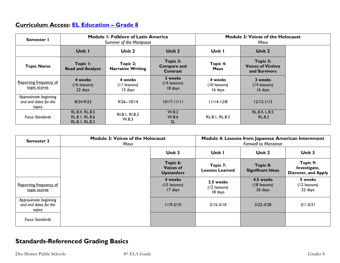## **Curriculum Access: [EL Education](https://curriculum.eleducation.org/curriculum/ela/2019/grade-8) – Grade 8**

| Semester I                                               |                                                    | <b>Module I: Folklore of Latin America</b><br>Summer of the Mariposas |                                            |                                    | <b>Module 3: Voices of the Holocaust</b><br>Maus      |  |
|----------------------------------------------------------|----------------------------------------------------|-----------------------------------------------------------------------|--------------------------------------------|------------------------------------|-------------------------------------------------------|--|
|                                                          | Unit I                                             | Unit 2                                                                | Unit 3                                     | Unit I                             | Unit 2                                                |  |
| <b>Topic Name</b>                                        | Topic I:<br><b>Read and Analyze</b>                | Topic 2:<br><b>Narrative Writing</b>                                  | Topic 3:<br><b>Compare and</b><br>Contrast | Topic 4:<br><b>Maus</b>            | Topic 5:<br><b>Voices of Victims</b><br>and Survivors |  |
| Reporting frequency of<br>topic scores                   | 4 weeks<br>(16 lessons)<br>22 days                 | 4 weeks<br>(11 lessons)<br>13 days                                    | 3 weeks<br>(14 lessons)<br>18 days         | 4 weeks<br>(10 lessons)<br>16 days | 3 weeks<br>$(14$ lessons)<br>16 days                  |  |
| Approximate beginning<br>and end dates for the<br>topics | $8/24 - 9/23$                                      | $9/26 - 10/14$                                                        | $10/17 - 11/11$                            | $11/14-12/8$                       | $12/12 - 1/13$                                        |  |
| <b>Focus Standards</b>                                   | RL.8.4, RL.8.5<br>RL.8.1, RL.8.6<br>RL.8.1, RL.8.3 | RI.8.1, RI.8.2<br>W.8.3                                               | W.8.2<br>W.8.6<br>SL                       | RL.8.1, RL.8.3                     | RL.8.4, L.8.5<br><b>RL.8.2</b>                        |  |

| <b>Semester 2</b>                                        | <b>Module 3: Voices of the Holocaust</b><br>Maus |                                                   |                                      | Module 4: Lessons from Japanese American Internment<br><b>Farewell to Manzanar</b> |                                                        |
|----------------------------------------------------------|--------------------------------------------------|---------------------------------------------------|--------------------------------------|------------------------------------------------------------------------------------|--------------------------------------------------------|
|                                                          |                                                  | Unit 3                                            | Unit I                               | Unit 2                                                                             | Unit 3                                                 |
|                                                          |                                                  | Topic 6:<br><b>Voices of</b><br><b>Upstanders</b> | Topic 7:<br><b>Lessons Learned</b>   | Topic 8:<br><b>Significant Ideas</b>                                               | Topic 9:<br>Investigate,<br><b>Discover, and Apply</b> |
| Reporting frequency of<br>topic scores                   |                                                  | 4 weeks<br>(15 lessons)<br>17 days                | 3.5 weeks<br>(12 lessons)<br>18 days | 4.5 weeks<br>(18 lessons)<br>26 days                                               | 5 weeks<br>(12 lessons)<br>22 days                     |
| Approximate beginning<br>and end dates for the<br>topics |                                                  | $1/19 - 2/10$                                     | $2/15 - 3/10$                        | $3/22 - 4/28$                                                                      | $5/1 - 5/31$                                           |
| <b>Focus Standards</b>                                   |                                                  |                                                   |                                      |                                                                                    |                                                        |

# **Standards-Referenced Grading Basics**

Des Moines Public Schools 8th ELA Guide Grades 8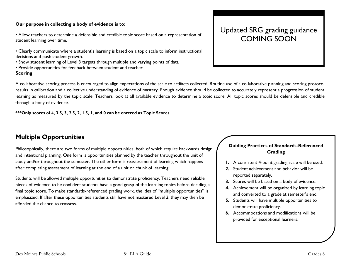#### **Our purpose in collecting a body of evidence is to:**

• Allow teachers to determine a defensible and credible topic score based on a representation of student learning over time.

- Clearly communicate where a student's learning is based on a topic scale to inform instructional decisions and push student growth.
- Show student learning of Level 3 targets through multiple and varying points of data
- Provide opportunities for feedback between student and teacher.

#### **Scoring**

A collaborative scoring process is encouraged to align expectations of the scale to artifacts collected. Routine use of a collaborative planning and scoring protocol results in calibration and a collective understanding of evidence of mastery. Enough evidence should be collected to accurately represent a progression of student learning as measured by the topic scale. Teachers look at all available evidence to determine a topic score. All topic scores should be defensible and credible through a body of evidence.

**\*\*\*Only scores of 4, 3.5, 3, 2.5, 2, 1.5, 1, and 0 can be entered as Topic Scores**.

## **Multiple Opportunities**

Philosophically, there are two forms of multiple opportunities, both of which require backwards design and intentional planning. One form is opportunities planned by the teacher throughout the unit of study and/or throughout the semester. The other form is reassessment of learning which happens after completing assessment of learning at the end of a unit or chunk of learning.

Students will be allowed multiple opportunities to demonstrate proficiency. Teachers need reliable pieces of evidence to be confident students have a good grasp of the learning topics before deciding a final topic score. To make standards-referenced grading work, the idea of "multiple opportunities" is emphasized. If after these opportunities students still have not mastered Level 3, they may then be afforded the chance to reassess.

# Updated SRG grading guidance COMING SOON

#### **Guiding Practices of Standards-Referenced Grading**

- **1.** A consistent 4-point grading scale will be used.
- **2.** Student achievement and behavior will be reported separately.
- **3.** Scores will be based on a body of evidence.
- **4.** Achievement will be organized by learning topic and converted to a grade at semester's end.
- **5.** Students will have multiple opportunities to demonstrate proficiency.
- **6.** Accommodations and modifications will be provided for exceptional learners.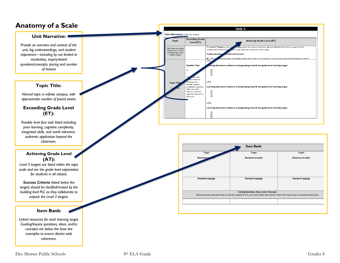## **Anatomy of a Scale**



*coherence.*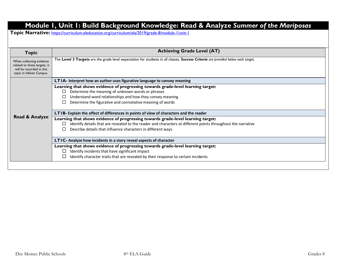## **Module 1, Unit 1: Build Background Knowledge: Read & Analyze** *Summer of the Mariposas*

**Topic Narrative:** <https://curriculum.eleducation.org/curriculum/ela/2019/grade-8/module-1/unit-1>

| The Level 3 Targets are the grade level expectation for students in all classes. Success Criteria are provided below each target.<br>When collecting evidence<br>related to these targets, it<br>will be recorded in this<br>topic in Infinite Campus.<br>LTIA- Interpret how an author uses figurative language to convey meaning<br>Learning that shows evidence of progressing towards grade-level learning target:<br>Determine the meaning of unknown words or phrases<br>ப<br>Understand word relationships and how they convey meaning<br>Determine the figurative and connotative meaning of words<br>□<br><b>LTIB-</b> Explain the effect of differences in points of view of characters and the reader<br><b>Read &amp; Analyze</b><br>Learning that shows evidence of progressing towards grade-level learning target:<br>Identify details that are revealed to the reader and characters at different points throughout the narrative<br>ப<br>Describe details that influence characters in different ways | <b>Topic</b> | <b>Achieving Grade Level (AT)</b> |  |  |  |
|------------------------------------------------------------------------------------------------------------------------------------------------------------------------------------------------------------------------------------------------------------------------------------------------------------------------------------------------------------------------------------------------------------------------------------------------------------------------------------------------------------------------------------------------------------------------------------------------------------------------------------------------------------------------------------------------------------------------------------------------------------------------------------------------------------------------------------------------------------------------------------------------------------------------------------------------------------------------------------------------------------------------|--------------|-----------------------------------|--|--|--|
|                                                                                                                                                                                                                                                                                                                                                                                                                                                                                                                                                                                                                                                                                                                                                                                                                                                                                                                                                                                                                        |              |                                   |  |  |  |
|                                                                                                                                                                                                                                                                                                                                                                                                                                                                                                                                                                                                                                                                                                                                                                                                                                                                                                                                                                                                                        |              |                                   |  |  |  |
|                                                                                                                                                                                                                                                                                                                                                                                                                                                                                                                                                                                                                                                                                                                                                                                                                                                                                                                                                                                                                        |              |                                   |  |  |  |
|                                                                                                                                                                                                                                                                                                                                                                                                                                                                                                                                                                                                                                                                                                                                                                                                                                                                                                                                                                                                                        |              |                                   |  |  |  |
|                                                                                                                                                                                                                                                                                                                                                                                                                                                                                                                                                                                                                                                                                                                                                                                                                                                                                                                                                                                                                        |              |                                   |  |  |  |
| LTIC- Analyze how incidents in a story reveal aspects of character                                                                                                                                                                                                                                                                                                                                                                                                                                                                                                                                                                                                                                                                                                                                                                                                                                                                                                                                                     |              |                                   |  |  |  |
| Learning that shows evidence of progressing towards grade-level learning target:<br>Identify incidents that have significant impact<br>Identify character traits that are revealed by their response to certain incidents                                                                                                                                                                                                                                                                                                                                                                                                                                                                                                                                                                                                                                                                                                                                                                                              |              |                                   |  |  |  |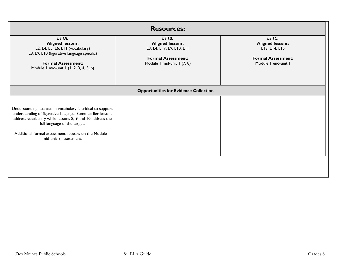| <b>Resources:</b>                                                                                                                                                                                                                                                                                      |                                                                                                                           |                                                                                                       |  |  |
|--------------------------------------------------------------------------------------------------------------------------------------------------------------------------------------------------------------------------------------------------------------------------------------------------------|---------------------------------------------------------------------------------------------------------------------------|-------------------------------------------------------------------------------------------------------|--|--|
| LTIA:<br><b>Aligned lessons:</b><br>L2, L4, L5, L6, L11 (vocabulary)<br>L8, L9, L10 (figurative language specific)<br><b>Formal Assessment:</b><br>Module I mid-unit I (1, 2, 3, 4, 5, 6)                                                                                                              | LTIB:<br><b>Aligned lessons:</b><br>L3, L4, L, 7, L9, L10, L11<br><b>Formal Assessment:</b><br>Module I mid-unit I (7, 8) | LTIC:<br><b>Aligned lessons:</b><br>LI3, LI4, LI5<br><b>Formal Assessment:</b><br>Module I end-unit I |  |  |
|                                                                                                                                                                                                                                                                                                        | <b>Opportunities for Evidence Collection</b>                                                                              |                                                                                                       |  |  |
| Understanding nuances in vocabulary is critical to support<br>understanding of figurative language. Some earlier lessons<br>address vocabulary while lessons 8, 9 and 10 address the<br>full language of the target.<br>Additional formal assessment appears on the Module I<br>mid-unit 3 assessment. |                                                                                                                           |                                                                                                       |  |  |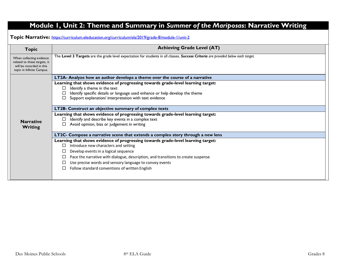# **Module 1, Unit 2: Theme and Summary in** *Summer of the Mariposas***: Narrative Writing**

**Topic Narrative:** <https://curriculum.eleducation.org/curriculum/ela/2019/grade-8/module-1/unit-2>

| <b>Topic</b>                                                                                                      | <b>Achieving Grade Level (AT)</b>                                                                                                 |  |  |  |  |
|-------------------------------------------------------------------------------------------------------------------|-----------------------------------------------------------------------------------------------------------------------------------|--|--|--|--|
| When collecting evidence<br>related to these targets, it<br>will be recorded in this<br>topic in Infinite Campus. | The Level 3 Targets are the grade level expectation for students in all classes. Success Criteria are provided below each target. |  |  |  |  |
|                                                                                                                   | LT2A- Analyze how an author develops a theme over the course of a narrative                                                       |  |  |  |  |
|                                                                                                                   | Learning that shows evidence of progressing towards grade-level learning target:                                                  |  |  |  |  |
|                                                                                                                   | Identify a theme in the text                                                                                                      |  |  |  |  |
|                                                                                                                   | Identify specific details or language used enhance or help develop the theme                                                      |  |  |  |  |
|                                                                                                                   | Support explanation/ interpretation with text evidence                                                                            |  |  |  |  |
|                                                                                                                   | LT2B- Construct an objective summary of complex texts                                                                             |  |  |  |  |
|                                                                                                                   | Learning that shows evidence of progressing towards grade-level learning target:                                                  |  |  |  |  |
| <b>Narrative</b>                                                                                                  | Identify and describe key events in a complex text                                                                                |  |  |  |  |
| <b>Writing</b>                                                                                                    | Avoid opinion, bias or judgement in writing                                                                                       |  |  |  |  |
|                                                                                                                   | LT2C- Compose a narrative scene that extends a complex story through a new lens                                                   |  |  |  |  |
|                                                                                                                   | Learning that shows evidence of progressing towards grade-level learning target:                                                  |  |  |  |  |
|                                                                                                                   | Introduce new characters and setting<br>П                                                                                         |  |  |  |  |
|                                                                                                                   | Develop events in a logical sequence                                                                                              |  |  |  |  |
|                                                                                                                   | Pace the narrative with dialogue, description, and transitions to create suspense                                                 |  |  |  |  |
|                                                                                                                   | Use precise words and sensory language to convey events                                                                           |  |  |  |  |
|                                                                                                                   | Follow standard conventions of written English                                                                                    |  |  |  |  |
|                                                                                                                   |                                                                                                                                   |  |  |  |  |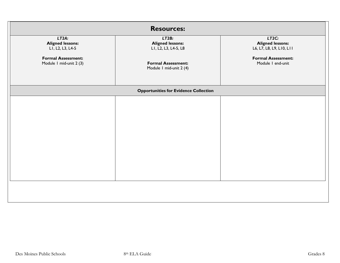| <b>Resources:</b>                                                                                            |                                                                                                                  |                                                                                                                |  |  |  |
|--------------------------------------------------------------------------------------------------------------|------------------------------------------------------------------------------------------------------------------|----------------------------------------------------------------------------------------------------------------|--|--|--|
| LT2A:<br><b>Aligned lessons:</b><br>LI, L2, L3, L4-5<br><b>Formal Assessment:</b><br>Module I mid-unit 2 (3) | LT2B:<br><b>Aligned lessons:</b><br>LI, L2, L3, L4-5, L8<br><b>Formal Assessment:</b><br>Module I mid-unit 2 (4) | LT2C:<br><b>Aligned lessons:</b><br>L6, L7, L8, L9, L10, L11<br><b>Formal Assessment:</b><br>Module I end-unit |  |  |  |
|                                                                                                              | <b>Opportunities for Evidence Collection</b>                                                                     |                                                                                                                |  |  |  |
|                                                                                                              |                                                                                                                  |                                                                                                                |  |  |  |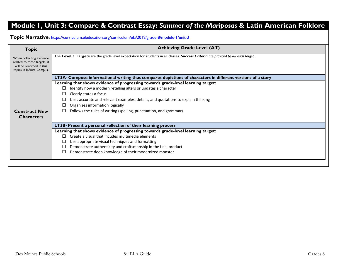## **Module 1, Unit 3: Compare & Contrast Essay:** *Summer of the Mariposas* **& Latin American Folklore**

**Topic Narrative:** <https://curriculum.eleducation.org/curriculum/ela/2019/grade-8/module-1/unit-3>

| <b>Topic</b>                                                                                                       | <b>Achieving Grade Level (AT)</b>                                                                                                 |  |  |  |
|--------------------------------------------------------------------------------------------------------------------|-----------------------------------------------------------------------------------------------------------------------------------|--|--|--|
| When collecting evidence<br>related to these targets, it<br>will be recorded in this<br>topics in Infinite Campus. | The Level 3 Targets are the grade level expectation for students in all classes. Success Criteria are provided below each target. |  |  |  |
|                                                                                                                    | LT3A- Compose informational writing that compares depictions of characters in different versions of a story                       |  |  |  |
|                                                                                                                    | Learning that shows evidence of progressing towards grade-level learning target:                                                  |  |  |  |
|                                                                                                                    | Identify how a modern retelling alters or updates a character<br>$\Box$                                                           |  |  |  |
|                                                                                                                    | Clearly states a focus                                                                                                            |  |  |  |
|                                                                                                                    | Uses accurate and relevant examples, details, and quotations to explain thinking                                                  |  |  |  |
|                                                                                                                    | Organizes information logically                                                                                                   |  |  |  |
| <b>Construct New</b>                                                                                               | Follows the rules of writing (spelling, punctuation, and grammar).<br>⊔                                                           |  |  |  |
| <b>Characters</b>                                                                                                  |                                                                                                                                   |  |  |  |
|                                                                                                                    | <b>LT3B-Present a personal reflection of their learning process</b>                                                               |  |  |  |
|                                                                                                                    | Learning that shows evidence of progressing towards grade-level learning target:                                                  |  |  |  |
|                                                                                                                    | Create a visual that incudes multimedia elements<br>$\Box$                                                                        |  |  |  |
|                                                                                                                    | Use appropriate visual techniques and formatting                                                                                  |  |  |  |
|                                                                                                                    | Demonstrate authenticity and craftsmanship in the final product                                                                   |  |  |  |
|                                                                                                                    | Demonstrate deep knowledge of their modernized monster                                                                            |  |  |  |
|                                                                                                                    |                                                                                                                                   |  |  |  |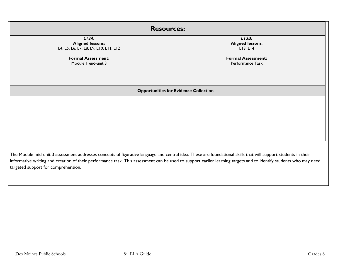| <b>Resources:</b>                                                         |                                               |  |  |  |
|---------------------------------------------------------------------------|-----------------------------------------------|--|--|--|
| LT3A:<br><b>Aligned lessons:</b><br>L4, L5, L6, L7, L8, L9, L10, L11, L12 | LT3B:<br><b>Aligned lessons:</b><br>L13, L14  |  |  |  |
| <b>Formal Assessment:</b><br>Module I end-unit 3                          | <b>Formal Assessment:</b><br>Performance Task |  |  |  |
|                                                                           | <b>Opportunities for Evidence Collection</b>  |  |  |  |
|                                                                           |                                               |  |  |  |

The Module mid-unit 3 assessment addresses concepts of figurative language and central idea. These are foundational skills that will support students in their informative writing and creation of their performance task. This assessment can be used to support earlier learning targets and to identify students who may need targeted support for comprehension.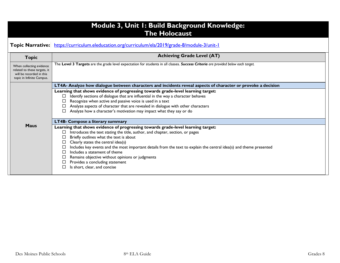| <b>Module 3, Unit I: Build Background Knowledge:</b><br><b>The Holocaust</b>                                      |                                                                                                                                                                                                                                                                                                                                                                                                                                                                                                                                                                             |  |  |  |  |  |
|-------------------------------------------------------------------------------------------------------------------|-----------------------------------------------------------------------------------------------------------------------------------------------------------------------------------------------------------------------------------------------------------------------------------------------------------------------------------------------------------------------------------------------------------------------------------------------------------------------------------------------------------------------------------------------------------------------------|--|--|--|--|--|
|                                                                                                                   | Topic Narrative: https://curriculum.eleducation.org/curriculum/ela/2019/grade-8/module-3/unit-1                                                                                                                                                                                                                                                                                                                                                                                                                                                                             |  |  |  |  |  |
| <b>Topic</b>                                                                                                      | <b>Achieving Grade Level (AT)</b>                                                                                                                                                                                                                                                                                                                                                                                                                                                                                                                                           |  |  |  |  |  |
| When collecting evidence<br>related to these targets, it<br>will be recorded in this<br>topic in Infinite Campus. | The Level 3 Targets are the grade level expectation for students in all classes. Success Criteria are provided below each target.                                                                                                                                                                                                                                                                                                                                                                                                                                           |  |  |  |  |  |
|                                                                                                                   | LT4A- Analyze how dialogue between characters and incidents reveal aspects of character or provoke a decision<br>Learning that shows evidence of progressing towards grade-level learning target:<br>Identify sections of dialogue that are influential in the way a character behaves<br>Recognize when active and passive voice is used in a text<br>Analyze aspects of character that are revealed in dialogue with other characters<br>Analyze how a character's motivation may impact what they say or do                                                              |  |  |  |  |  |
| <b>Maus</b>                                                                                                       | <b>LT4B- Compose a literary summary</b><br>Learning that shows evidence of progressing towards grade-level learning target:<br>Introduces the text stating the title, author, and chapter, section, or pages<br>Briefly outlines what the text is about<br>Clearly states the central idea(s)<br>Includes key events and the most important details from the text to explain the central idea(s) and theme presented<br>Includes a statement of theme<br>Remains objective without opinions or judgments<br>Provides a concluding statement<br>Is short, clear, and concise |  |  |  |  |  |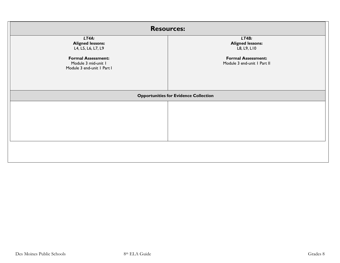| <b>Resources:</b>                                                              |                                                          |  |  |  |
|--------------------------------------------------------------------------------|----------------------------------------------------------|--|--|--|
| LT4A:<br><b>Aligned lessons:</b><br>L4, L5, L6, L7, L9                         | LT4B:<br><b>Aligned lessons:</b><br>L8, L9, L10          |  |  |  |
| <b>Formal Assessment:</b><br>Module 3 mid-unit 1<br>Module 3 end-unit I Part I | <b>Formal Assessment:</b><br>Module 3 end-unit I Part II |  |  |  |
|                                                                                | <b>Opportunities for Evidence Collection</b>             |  |  |  |
|                                                                                |                                                          |  |  |  |
|                                                                                |                                                          |  |  |  |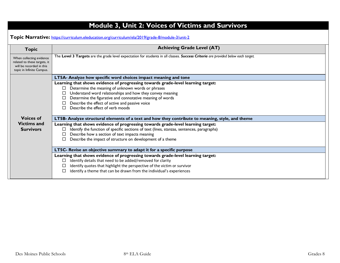|                                                                                                                                   | <b>Achieving Grade Level (AT)</b>                                                                                                                                                                                                                                                                                                                                                                                                                                                                                                                                                                                                                                                                                            |  |  |  |
|-----------------------------------------------------------------------------------------------------------------------------------|------------------------------------------------------------------------------------------------------------------------------------------------------------------------------------------------------------------------------------------------------------------------------------------------------------------------------------------------------------------------------------------------------------------------------------------------------------------------------------------------------------------------------------------------------------------------------------------------------------------------------------------------------------------------------------------------------------------------------|--|--|--|
| <b>Topic</b><br>When collecting evidence<br>related to these targets, it<br>will be recorded in this<br>topic in Infinite Campus. | The Level 3 Targets are the grade level expectation for students in all classes. Success Criteria are provided below each target.                                                                                                                                                                                                                                                                                                                                                                                                                                                                                                                                                                                            |  |  |  |
|                                                                                                                                   | LT5A- Analyze how specific word choices impact meaning and tone<br>Learning that shows evidence of progressing towards grade-level learning target:<br>Determine the meaning of unknown words or phrases<br>□<br>Understand word relationships and how they convey meaning<br>Determine the figurative and connotative meaning of words<br>Describe the effect of active and passive voice<br>Describe the effect of verb moods<br>п                                                                                                                                                                                                                                                                                         |  |  |  |
| <b>Voices of</b><br><b>Victims and</b><br><b>Survivors</b>                                                                        | LT5B- Analyze structural elements of a text and how they contribute to meaning, style, and theme<br>Learning that shows evidence of progressing towards grade-level learning target:<br>Identify the function of specific sections of text (lines, stanzas, sentences, paragraphs)<br>□<br>Describe how a section of text impacts meaning<br>□<br>Describe the impact of structure on development of a theme<br>LT5C- Revise an objective summary to adapt it for a specific purpose<br>Learning that shows evidence of progressing towards grade-level learning target:<br>Identify details that need to be added/removed for clarity<br>□<br>Identify quotes that highlight the perspective of the victim or survivor<br>□ |  |  |  |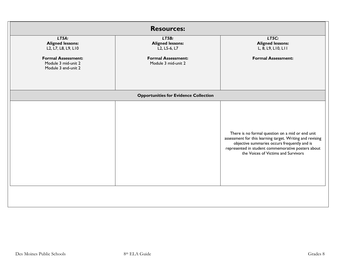|                                                                                      | <b>Resources:</b>                                                             |                                                                                                                                                                                                                                                            |
|--------------------------------------------------------------------------------------|-------------------------------------------------------------------------------|------------------------------------------------------------------------------------------------------------------------------------------------------------------------------------------------------------------------------------------------------------|
| LT5A:<br><b>Aligned lessons:</b><br>L2, L7, L8, L9, L10<br><b>Formal Assessment:</b> | LT5B:<br><b>Aligned lessons:</b><br>L2, L5-6, L7<br><b>Formal Assessment:</b> | LT5C:<br><b>Aligned lessons:</b><br>L, 8, L9, L10, L11<br><b>Formal Assessment:</b>                                                                                                                                                                        |
| Module 3 mid-unit 2<br>Module 3 end-unit 2                                           | Module 3 mid-unit 2                                                           |                                                                                                                                                                                                                                                            |
|                                                                                      | <b>Opportunities for Evidence Collection</b>                                  |                                                                                                                                                                                                                                                            |
|                                                                                      |                                                                               | There is no formal question on a mid or end unit<br>assessment for this learning target. Writing and revising<br>objective summaries occurs frequently and is<br>represented in student commemorative posters about<br>the Voices of Victims and Survivors |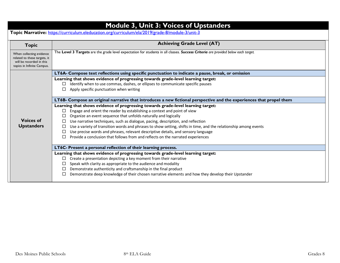|                                                                                                                    | <b>Module 3, Unit 3: Voices of Upstanders</b>                                                                                                                             |  |  |
|--------------------------------------------------------------------------------------------------------------------|---------------------------------------------------------------------------------------------------------------------------------------------------------------------------|--|--|
| Topic Narrative: https://curriculum.eleducation.org/curriculum/ela/2019/grade-8/module-3/unit-3                    |                                                                                                                                                                           |  |  |
| <b>Topic</b>                                                                                                       | <b>Achieving Grade Level (AT)</b>                                                                                                                                         |  |  |
| When collecting evidence<br>related to these targets, it<br>will be recorded in this<br>topics in Infinite Campus. | The Level 3 Targets are the grade level expectation for students in all classes. Success Criteria are provided below each target.                                         |  |  |
|                                                                                                                    | LT6A- Compose text reflections using specific punctuation to indicate a pause, break, or omission                                                                         |  |  |
|                                                                                                                    | Learning that shows evidence of progressing towards grade-level learning target:                                                                                          |  |  |
|                                                                                                                    | Identify when to use commas, dashes, or ellipses to communicate specific pauses<br>$\Box$                                                                                 |  |  |
|                                                                                                                    | Apply specific punctuation when writing                                                                                                                                   |  |  |
|                                                                                                                    | LT6B- Compose an original narrative that introduces a new fictional perspective and the experiences that propel them                                                      |  |  |
|                                                                                                                    | Learning that shows evidence of progressing towards grade-level learning target:                                                                                          |  |  |
|                                                                                                                    | Engage and orient the reader by establishing a context and point of view                                                                                                  |  |  |
| <b>Voices of</b>                                                                                                   | Organize an event sequence that unfolds naturally and logically                                                                                                           |  |  |
|                                                                                                                    | Use narrative techniques, such as dialogue, pacing, description, and reflection                                                                                           |  |  |
| <b>Upstanders</b>                                                                                                  | Use a variety of transition words and phrases to show setting, shifts in time, and the relationship among events                                                          |  |  |
|                                                                                                                    | Use precise words and phrases, relevant descriptive details, and sensory language<br>□<br>Provide a conclusion that follows from and reflects on the narrated experiences |  |  |
|                                                                                                                    |                                                                                                                                                                           |  |  |
|                                                                                                                    | LT6C- Present a personal reflection of their learning process.                                                                                                            |  |  |
| Learning that shows evidence of progressing towards grade-level learning target:                                   |                                                                                                                                                                           |  |  |
|                                                                                                                    | Create a presentation depicting a key moment from their narrative                                                                                                         |  |  |
|                                                                                                                    | Speak with clarity as appropriate to the audience and modality<br>□                                                                                                       |  |  |
|                                                                                                                    | Demonstrate authenticity and craftsmanship in the final product                                                                                                           |  |  |
|                                                                                                                    | Demonstrate deep knowledge of their chosen narrative elements and how they develop their Upstander                                                                        |  |  |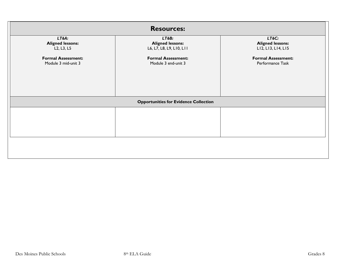| <b>Resources:</b>                                                                    |                                                              |                                                        |  |
|--------------------------------------------------------------------------------------|--------------------------------------------------------------|--------------------------------------------------------|--|
| LT6A:<br><b>Aligned lessons:</b><br>L <sub>2</sub> , L <sub>3</sub> , L <sub>5</sub> | LT6B:<br><b>Aligned lessons:</b><br>L6, L7, L8, L9, L10, L11 | LT6C:<br><b>Aligned lessons:</b><br>LI2, LI3, LI4, LI5 |  |
| <b>Formal Assessment:</b><br>Module 3 mid-unit 3                                     | <b>Formal Assessment:</b><br>Module 3 end-unit 3             | <b>Formal Assessment:</b><br>Performance Task          |  |
| <b>Opportunities for Evidence Collection</b>                                         |                                                              |                                                        |  |
|                                                                                      |                                                              |                                                        |  |
|                                                                                      |                                                              |                                                        |  |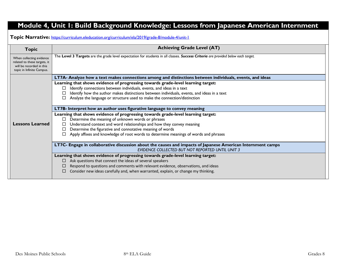# **Module 4, Unit 1: Build Background Knowledge: Lessons from Japanese American Internment**

**Topic Narrative:** <https://curriculum.eleducation.org/curriculum/ela/2019/grade-8/module-4/unit-1>

| Topic                                                                                                             | <b>Achieving Grade Level (AT)</b>                                                                                                 |  |  |
|-------------------------------------------------------------------------------------------------------------------|-----------------------------------------------------------------------------------------------------------------------------------|--|--|
| When collecting evidence<br>related to these targets, it<br>will be recorded in this<br>topic in Infinite Campus. | The Level 3 Targets are the grade level expectation for students in all classes. Success Criteria are provided below each target. |  |  |
|                                                                                                                   | LT7A- Analyze how a text makes connections among and distinctions between individuals, events, and ideas                          |  |  |
|                                                                                                                   | Learning that shows evidence of progressing towards grade-level learning target:                                                  |  |  |
|                                                                                                                   | Identify connections between individuals, events, and ideas in a text                                                             |  |  |
|                                                                                                                   | Identify how the author makes distinctions between individuals, events, and ideas in a text                                       |  |  |
|                                                                                                                   | Analyze the language or structure used to make the connection/distinction                                                         |  |  |
|                                                                                                                   |                                                                                                                                   |  |  |
|                                                                                                                   | LT7B- Interpret how an author uses figurative language to convey meaning                                                          |  |  |
|                                                                                                                   | Learning that shows evidence of progressing towards grade-level learning target:                                                  |  |  |
|                                                                                                                   | Determine the meaning of unknown words or phrases                                                                                 |  |  |
| <b>Lessons Learned</b>                                                                                            | Understand context and word relationships and how they convey meaning                                                             |  |  |
|                                                                                                                   | Determine the figurative and connotative meaning of words                                                                         |  |  |
|                                                                                                                   | Apply affixes and knowledge of root words to determine meanings of words and phrases                                              |  |  |
|                                                                                                                   | LT7C- Engage in collaborative discussion about the causes and impacts of Japanese American Internment camps                       |  |  |
|                                                                                                                   | EVIDENCE COLLECTED BUT NOT REPORTED UNTIL UNIT 3                                                                                  |  |  |
|                                                                                                                   | Learning that shows evidence of progressing towards grade-level learning target:                                                  |  |  |
|                                                                                                                   | Ask questions that connect the ideas of several speakers                                                                          |  |  |
|                                                                                                                   | Respond to questions and comments with relevant evidence, observations, and ideas                                                 |  |  |
|                                                                                                                   | Consider new ideas carefully and, when warranted, explain, or change my thinking.                                                 |  |  |
|                                                                                                                   |                                                                                                                                   |  |  |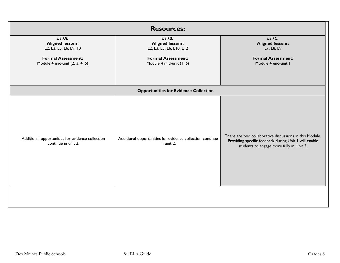| <b>Resources:</b>                                                                                                         |                                                                                                                       |                                                                                                                                                              |  |
|---------------------------------------------------------------------------------------------------------------------------|-----------------------------------------------------------------------------------------------------------------------|--------------------------------------------------------------------------------------------------------------------------------------------------------------|--|
| LT7A.<br><b>Aligned lessons:</b><br>L2, L3, L5, L6, L9, 10<br><b>Formal Assessment:</b><br>Module 4 mid-unit (2, 3, 4, 5) | LT7B:<br><b>Aligned lessons:</b><br>L2, L3, L5, L6, L10, L12<br><b>Formal Assessment:</b><br>Module 4 mid-unit (1, 6) | LT7C:<br><b>Aligned lessons:</b><br>L7, L8, L9<br><b>Formal Assessment:</b><br>Module 4 end-unit I                                                           |  |
|                                                                                                                           | <b>Opportunities for Evidence Collection</b>                                                                          |                                                                                                                                                              |  |
| Additional opportunities for evidence collection<br>continue in unit 2.                                                   | Additional opportunities for evidence collection continue<br>in unit 2.                                               | There are two collaborative discussions in this Module.<br>Providing specific feedback during Unit I will enable<br>students to engage more fully in Unit 3. |  |
|                                                                                                                           |                                                                                                                       |                                                                                                                                                              |  |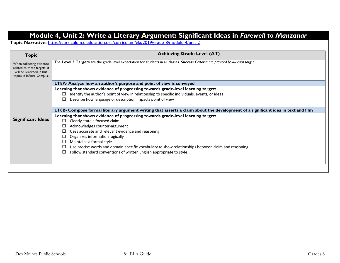### **Module 4, Unit 2: Write a Literary Argument: Significant Ideas in** *Farewell to Manzanar*

**Topic Narrative:** <https://curriculum.eleducation.org/curriculum/ela/2019/grade-8/module-4/unit-2>

| <b>Topic</b>                                                                                                       | <b>Achieving Grade Level (AT)</b>                                                                                                 |  |
|--------------------------------------------------------------------------------------------------------------------|-----------------------------------------------------------------------------------------------------------------------------------|--|
| When collecting evidence<br>related to these targets, it<br>will be recorded in this<br>topics in Infinite Campus. | The Level 3 Targets are the grade level expectation for students in all classes. Success Criteria are provided below each target. |  |
|                                                                                                                    | LT8A- Analyze how an author's purpose and point of view is conveyed                                                               |  |
|                                                                                                                    | Learning that shows evidence of progressing towards grade-level learning target:                                                  |  |
|                                                                                                                    | Identify the author's point of view in relationship to specific individuals, events, or ideas<br>LI                               |  |
|                                                                                                                    | Describe how language or description impacts point of view                                                                        |  |
|                                                                                                                    | LT8B- Compose formal literary argument writing that asserts a claim about the development of a significant idea in text and film  |  |
| Learning that shows evidence of progressing towards grade-level learning target:                                   |                                                                                                                                   |  |
| <b>Significant Ideas</b>                                                                                           | Clearly state a focused claim<br>□                                                                                                |  |
|                                                                                                                    | Acknowledges counter-argument                                                                                                     |  |
|                                                                                                                    | Uses accurate and relevant evidence and reasoning                                                                                 |  |
|                                                                                                                    | Organizes information logically                                                                                                   |  |
|                                                                                                                    | Maintains a formal style                                                                                                          |  |
|                                                                                                                    | Use precise words and domain-specific vocabulary to show relationships between claim and reasoning                                |  |
|                                                                                                                    | Follow standard conventions of written English appropriate to style                                                               |  |
|                                                                                                                    |                                                                                                                                   |  |
|                                                                                                                    |                                                                                                                                   |  |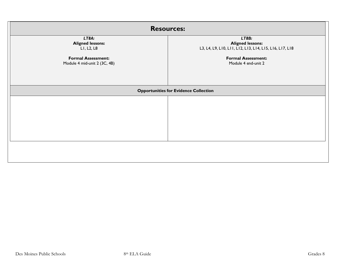| <b>Resources:</b>                                                                                           |                                                                                                                                                 |  |
|-------------------------------------------------------------------------------------------------------------|-------------------------------------------------------------------------------------------------------------------------------------------------|--|
| LT8A:<br><b>Aligned lessons:</b><br>LI, L2, L8<br><b>Formal Assessment:</b><br>Module 4 mid-unit 2 (3C, 4B) | LT8B:<br><b>Aligned lessons:</b><br>L3, L4, L9, L10, L11, L12, L13, L14, L15, L16, L17, L18<br><b>Formal Assessment:</b><br>Module 4 end-unit 2 |  |
| <b>Opportunities for Evidence Collection</b>                                                                |                                                                                                                                                 |  |
|                                                                                                             |                                                                                                                                                 |  |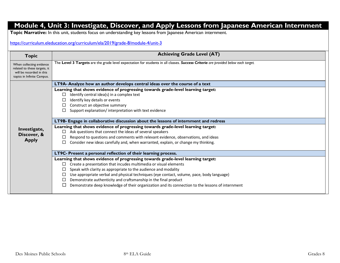# **Module 4, Unit 3: Investigate, Discover, and Apply Lessons from Japanese American Internment**

**Topic Narrative:** In this unit, students focus on understanding key lessons from Japanese American internment.

#### <https://curriculum.eleducation.org/curriculum/ela/2019/grade-8/module-4/unit-3>

| <b>Topic</b>                                                                                                       | <b>Achieving Grade Level (AT)</b>                                                                                                 |
|--------------------------------------------------------------------------------------------------------------------|-----------------------------------------------------------------------------------------------------------------------------------|
| When collecting evidence<br>related to these targets, it<br>will be recorded in this<br>topics in Infinite Campus. | The Level 3 Targets are the grade level expectation for students in all classes. Success Criteria are provided below each target. |
|                                                                                                                    | LT9A- Analyze how an author develops central ideas over the course of a text                                                      |
|                                                                                                                    | Learning that shows evidence of progressing towards grade-level learning target:                                                  |
|                                                                                                                    | Identify central idea(s) in a complex text                                                                                        |
|                                                                                                                    | Identify key details or events                                                                                                    |
|                                                                                                                    | Construct an objective summary                                                                                                    |
|                                                                                                                    | Support explanation/interpretation with text evidence                                                                             |
|                                                                                                                    | LT9B- Engage in collaborative discussion about the lessons of internment and redress                                              |
| Investigate,                                                                                                       | Learning that shows evidence of progressing towards grade-level learning target:                                                  |
| Discover, &                                                                                                        | Ask questions that connect the ideas of several speakers                                                                          |
| <b>Apply</b>                                                                                                       | Respond to questions and comments with relevant evidence, observations, and ideas                                                 |
|                                                                                                                    | Consider new ideas carefully and, when warranted, explain, or change my thinking.                                                 |
|                                                                                                                    | LT9C- Present a personal reflection of their learning process.                                                                    |
|                                                                                                                    | Learning that shows evidence of progressing towards grade-level learning target:                                                  |
|                                                                                                                    | Create a presentation that incudes multimedia or visual elements                                                                  |
|                                                                                                                    | Speak with clarity as appropriate to the audience and modality                                                                    |
|                                                                                                                    | Use appropriate verbal and physical techniques (eye contact, volume, pace, body language)                                         |
|                                                                                                                    | Demonstrate authenticity and craftsmanship in the final product                                                                   |
|                                                                                                                    | Demonstrate deep knowledge of their organization and its connection to the lessons of internment                                  |